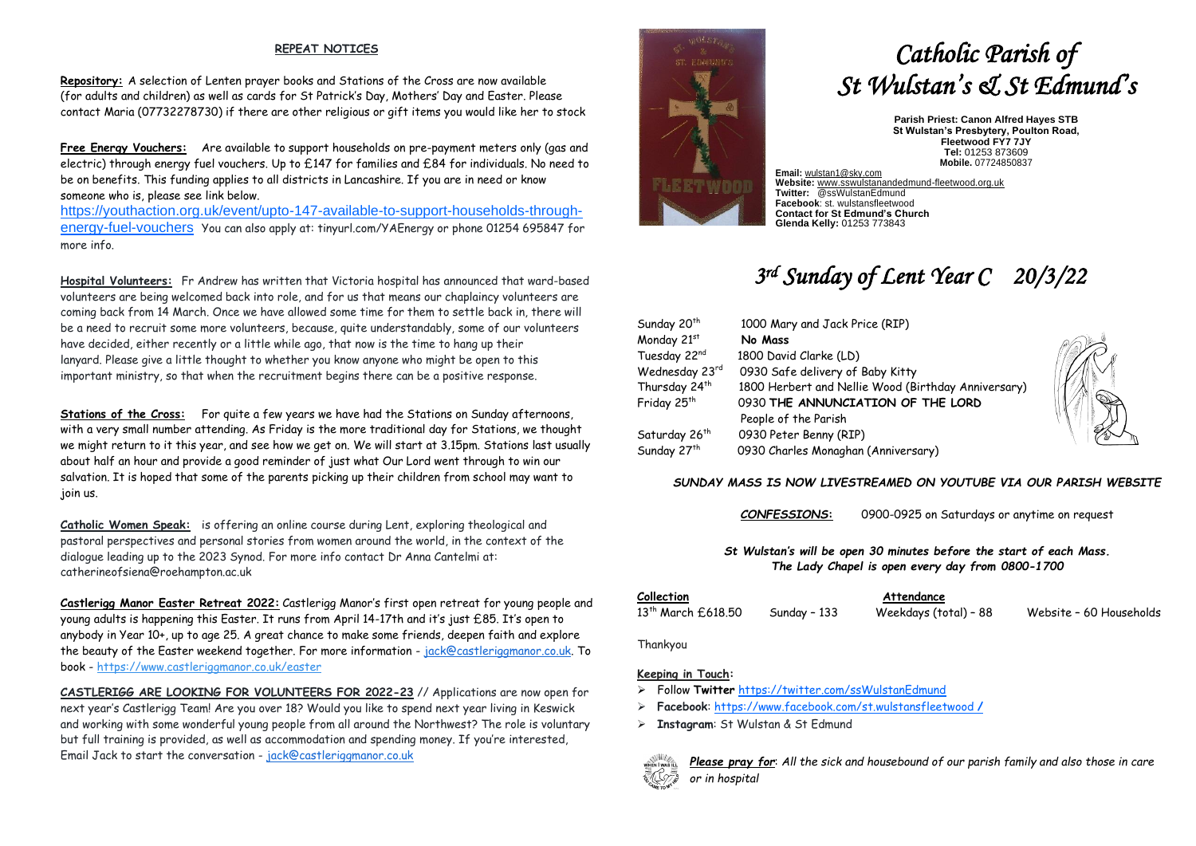#### **REPEAT NOTICES**

**Repository:** A selection of Lenten prayer books and Stations of the Cross are now available (for adults and children) as well as cards for St Patrick's Day, Mothers' Day and Easter. Please contact Maria (07732278730) if there are other religious or gift items you would like her to stock

**Free Energy Vouchers:** Are available to support households on pre-payment meters only (gas and electric) through energy fuel vouchers. Up to £147 for families and £84 for individuals. No need to be on benefits. This funding applies to all districts in Lancashire. If you are in need or know someone who is, please see link below.

[https://youthaction.org.uk/event/upto-147-available-to-support-households-through](https://youthaction.org.uk/event/upto-147-available-to-support-households-through-energy-fuel-vouchers)[energy-fuel-vouchers](https://youthaction.org.uk/event/upto-147-available-to-support-households-through-energy-fuel-vouchers) You can also apply at: tinyurl.com/YAEnergy or phone 01254 695847 for more info.

**Hospital Volunteers:** Fr Andrew has written that Victoria hospital has announced that ward-based volunteers are being welcomed back into role, and for us that means our chaplaincy volunteers are coming back from 14 March. Once we have allowed some time for them to settle back in, there will be a need to recruit some more volunteers, because, quite understandably, some of our volunteers have decided, either recently or a little while ago, that now is the time to hang up their lanyard. Please give a little thought to whether you know anyone who might be open to this important ministry, so that when the recruitment begins there can be a positive response.

**Stations of the Cross:** For quite a few years we have had the Stations on Sunday afternoons, with a very small number attending. As Friday is the more traditional day for Stations, we thought we might return to it this year, and see how we get on. We will start at 3.15pm. Stations last usually about half an hour and provide a good reminder of just what Our Lord went through to win our salvation. It is hoped that some of the parents picking up their children from school may want to join us.

**Catholic Women Speak:** is offering an online course during Lent, exploring theological and pastoral perspectives and personal stories from women around the world, in the context of the dialogue leading up to the 2023 Synod. For more info contact Dr Anna Cantelmi at: catherineofsiena@roehampton.ac.uk

**Castlerigg Manor Easter Retreat 2022:** Castlerigg Manor's first open retreat for young people and young adults is happening this Easter. It runs from April 14-17th and it's just £85. It's open to anybody in Year 10+, up to age 25. A great chance to make some friends, deepen faith and explore the beauty of the Easter weekend together. For more information - [jack@castleriggmanor.co.uk.](mailto:jack@castleriggmanor.co.uk) To book - <https://www.castleriggmanor.co.uk/easter>

**CASTLERIGG ARE LOOKING FOR VOLUNTEERS FOR 2022-23** // Applications are now open for next year's Castlerigg Team! Are you over 18? Would you like to spend next year living in Keswick and working with some wonderful young people from all around the Northwest? The role is voluntary but full training is provided, as well as accommodation and spending money. If you're interested, Email Jack to start the conversation - [jack@castleriggmanor.co.uk](mailto:jack@castleriggmanor.co.uk)



# *Catholic Parish of St Wulstan's & St Edmund's*

**Parish Priest: Canon Alfred Hayes STB St Wulstan's Presbytery, Poulton Road, Fleetwood FY7 7JY Tel:** 01253 873609 **Mobile.** 07724850837

**Email:** [wulstan1@sky.com](mailto:wulstan1@sky.com) **Website:** [www.sswulstanandedmund-fleetwood.org.uk](http://www.sswulstanandedmund-fleetwood.org.uk/) **Twitter:** @ssWulstanEdmund **Facebook**: st. wulstansfleetwood **Contact for St Edmund's Church Glenda Kelly:** 01253 773843

## *3 rd Sunday of Lent Year C 20/3/22*

| Sunday 20 <sup>th</sup>   | 1000 Mary and Jack Price (RIP)                      |  |  |
|---------------------------|-----------------------------------------------------|--|--|
| Monday 21st               | No Mass                                             |  |  |
| Tuesday 22nd              | 1800 David Clarke (LD)                              |  |  |
| Wednesday 23rd            | 0930 Safe delivery of Baby Kitty                    |  |  |
| Thursday 24 <sup>th</sup> | 1800 Herbert and Nellie Wood (Birthday Anniversary) |  |  |
| Friday 25 <sup>th</sup>   | 0930 THE ANNUNCIATION OF THE LORD                   |  |  |
|                           | People of the Parish                                |  |  |
| Saturday 26 <sup>th</sup> | 0930 Peter Benny (RIP)                              |  |  |
| Sunday 27 <sup>th</sup>   | 0930 Charles Monaghan (Anniversary)                 |  |  |

#### *SUNDAY MASS IS NOW LIVESTREAMED ON YOUTUBE VIA OUR PARISH WEBSITE*

*CONFESSIONS***:** 0900-0925 on Saturdays or anytime on request

*St Wulstan's will be open 30 minutes before the start of each Mass. The Lady Chapel is open every day from 0800-1700*

**Collection Attendance**

13th March £618.50 Sunday – 133 Weekdays (total) – 88 Website – 60 Households

Thankyou

### **Keeping in Touch:**

- ➢ Follow **Twitter** <https://twitter.com/ssWulstanEdmund>
- ➢ **Facebook**: https://www.facebook.com/st.wulstansfleetwood **/**
- ➢ **Instagram**: St Wulstan & St Edmund



*Please pray for*: *All the sick and housebound of our parish family and also those in care or in hospital*